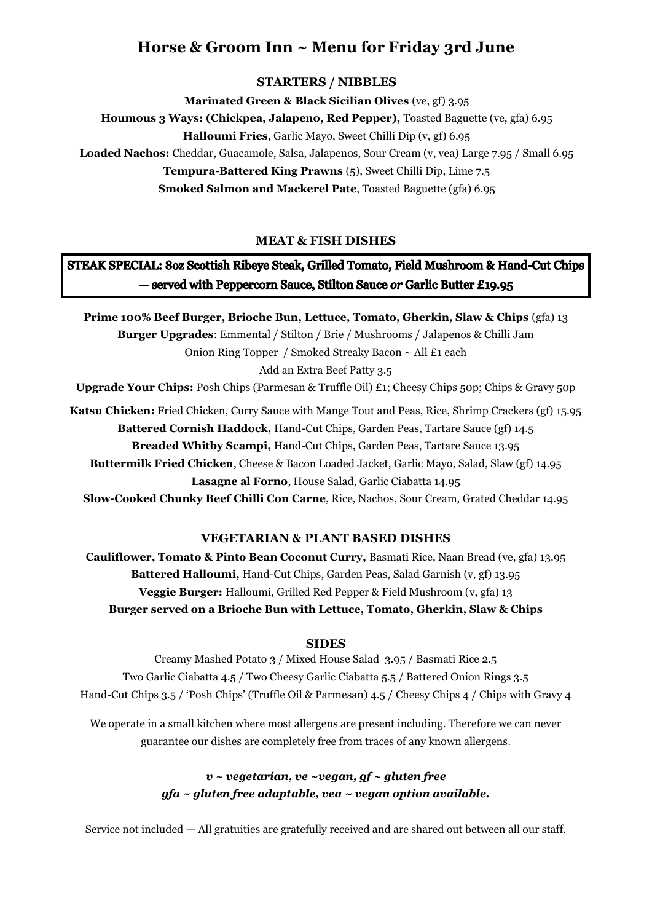# **Horse & Groom Inn ~ Menu for Friday 3rd June**

## **STARTERS / NIBBLES**

**Marinated Green & Black Sicilian Olives** (ve, gf) 3.95 **Houmous 3 Ways: (Chickpea, Jalapeno, Red Pepper),** Toasted Baguette (ve, gfa) 6.95 **Halloumi Fries**, Garlic Mayo, Sweet Chilli Dip (v, gf) 6.95 **Loaded Nachos:** Cheddar, Guacamole, Salsa, Jalapenos, Sour Cream (v, vea) Large 7.95 / Small 6.95 **Tempura-Battered King Prawns** (5), Sweet Chilli Dip, Lime 7.5

**Smoked Salmon and Mackerel Pate**, Toasted Baguette (gfa) 6.95

## **MEAT & FISH DISHES**

# STEAK SPECIAL: 80z Scottish Ribeye Steak, Grilled Tomato, Field Mushroom & Hand-Cut Chips - served with Peppercorn Sauce, Stilton Sauce or Garlic Butter £19.95

**Prime 100% Beef Burger, Brioche Bun, Lettuce, Tomato, Gherkin, Slaw & Chips** (gfa) 13 **Burger Upgrades**: Emmental / Stilton / Brie / Mushrooms / Jalapenos & Chilli Jam Onion Ring Topper / Smoked Streaky Bacon ~ All £1 each Add an Extra Beef Patty 3.5

**Upgrade Your Chips:** Posh Chips (Parmesan & Truffle Oil) £1; Cheesy Chips 50p; Chips & Gravy 50p

**Katsu Chicken:** Fried Chicken, Curry Sauce with Mange Tout and Peas, Rice, Shrimp Crackers (gf) 15.95 **Battered Cornish Haddock,** Hand-Cut Chips, Garden Peas, Tartare Sauce (gf) 14.5 **Breaded Whitby Scampi,** Hand-Cut Chips, Garden Peas, Tartare Sauce 13.95 **Buttermilk Fried Chicken**, Cheese & Bacon Loaded Jacket, Garlic Mayo, Salad, Slaw (gf) 14.95 **Lasagne al Forno**, House Salad, Garlic Ciabatta 14.95 **Slow-Cooked Chunky Beef Chilli Con Carne**, Rice, Nachos, Sour Cream, Grated Cheddar 14.95

### **VEGETARIAN & PLANT BASED DISHES**

**Cauliflower, Tomato & Pinto Bean Coconut Curry,** Basmati Rice, Naan Bread (ve, gfa) 13.95 **Battered Halloumi,** Hand-Cut Chips, Garden Peas, Salad Garnish (v, gf) 13.95 **Veggie Burger:** Halloumi, Grilled Red Pepper & Field Mushroom (v, gfa) 13 **Burger served on a Brioche Bun with Lettuce, Tomato, Gherkin, Slaw & Chips**

### **SIDES**

Creamy Mashed Potato 3 / Mixed House Salad 3.95 / Basmati Rice 2.5 Two Garlic Ciabatta 4.5 / Two Cheesy Garlic Ciabatta 5.5 / Battered Onion Rings 3.5 Hand-Cut Chips 3.5 / 'Posh Chips' (Truffle Oil & Parmesan) 4.5 / Cheesy Chips 4 / Chips with Gravy 4

We operate in a small kitchen where most allergens are present including. Therefore we can never guarantee our dishes are completely free from traces of any known allergens.

## *v ~ vegetarian, ve ~vegan, gf ~ gluten free gfa ~ gluten free adaptable, vea ~ vegan option available.*

Service not included — All gratuities are gratefully received and are shared out between all our staff.